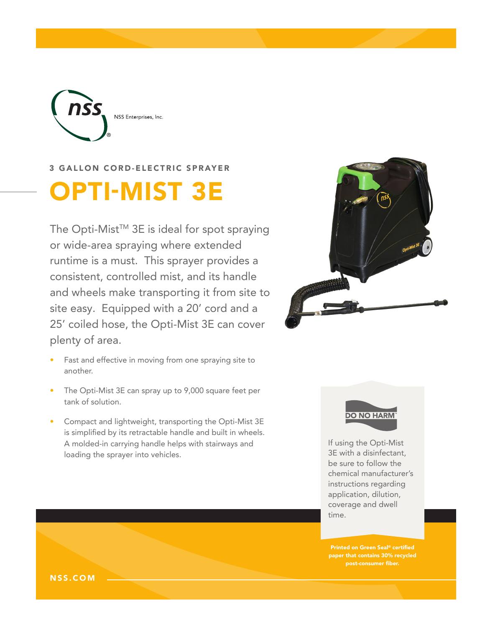

## 3 GALLON CORD-ELECTRIC SPRAYER

# OPTI-MIST 3E

The Opti-Mist™ 3E is ideal for spot spraying or wide-area spraying where extended runtime is a must. This sprayer provides a consistent, controlled mist, and its handle and wheels make transporting it from site to site easy. Equipped with a 20' cord and a 25' coiled hose, the Opti-Mist 3E can cover plenty of area.

- Fast and effective in moving from one spraying site to another.
- The Opti-Mist 3E can spray up to 9,000 square feet per tank of solution.
- Compact and lightweight, transporting the Opti-Mist 3E is simplified by its retractable handle and built in wheels. A molded-in carrying handle helps with stairways and loading the sprayer into vehicles.





If using the Opti-Mist 3E with a disinfectant, be sure to follow the chemical manufacturer's instructions regarding application, dilution, coverage and dwell time.

Printed on Green Seal® certified paper that contains 30% recycled post-consumer fiber.